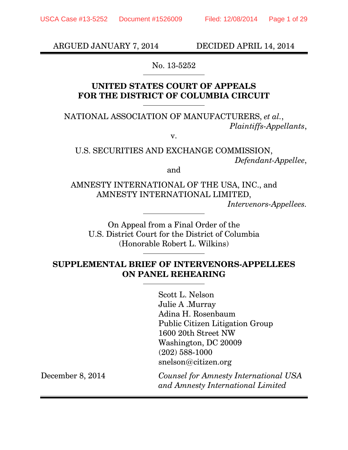ARGUED JANUARY 7, 2014 DECIDED APRIL 14, 2014

No. 13-5252

## **UNITED STATES COURT OF APPEALS FOR THE DISTRICT OF COLUMBIA CIRCUIT**

NATIONAL ASSOCIATION OF MANUFACTURERS, *et al.*, *Plaintiffs-Appellants*,

v.

U.S. SECURITIES AND EXCHANGE COMMISSION, *Defendant-Appellee*,

and

AMNESTY INTERNATIONAL OF THE USA, INC., and AMNESTY INTERNATIONAL LIMITED, *Intervenors-Appellees.* 

On Appeal from a Final Order of the U.S. District Court for the District of Columbia (Honorable Robert L. Wilkins)

## **SUPPLEMENTAL BRIEF OF INTERVENORS-APPELLEES ON PANEL REHEARING**

Scott L. Nelson Julie A .Murray Adina H. Rosenbaum Public Citizen Litigation Group 1600 20th Street NW Washington, DC 20009 (202) 588-1000 snelson@citizen.org

December 8, 2014 *Counsel for Amnesty International USA and Amnesty International Limited*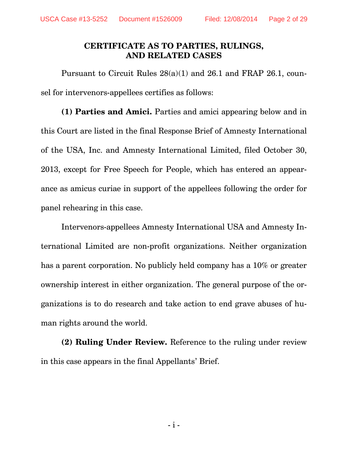## **CERTIFICATE AS TO PARTIES, RULINGS, AND RELATED CASES**

Pursuant to Circuit Rules 28(a)(1) and 26.1 and FRAP 26.1, counsel for intervenors-appellees certifies as follows:

**(1) Parties and Amici.** Parties and amici appearing below and in this Court are listed in the final Response Brief of Amnesty International of the USA, Inc. and Amnesty International Limited, filed October 30, 2013, except for Free Speech for People, which has entered an appearance as amicus curiae in support of the appellees following the order for panel rehearing in this case.

Intervenors-appellees Amnesty International USA and Amnesty International Limited are non-profit organizations. Neither organization has a parent corporation. No publicly held company has a 10% or greater ownership interest in either organization. The general purpose of the organizations is to do research and take action to end grave abuses of human rights around the world.

**(2) Ruling Under Review.** Reference to the ruling under review in this case appears in the final Appellants' Brief.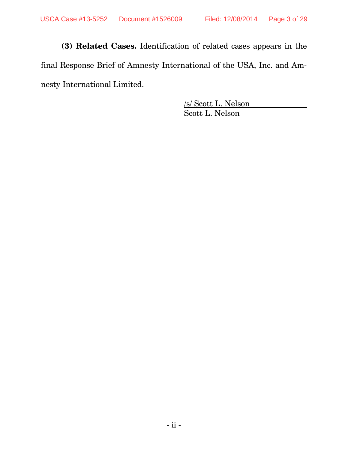**(3) Related Cases.** Identification of related cases appears in the final Response Brief of Amnesty International of the USA, Inc. and Amnesty International Limited.

> /s/ Scott L. Nelson Scott L. Nelson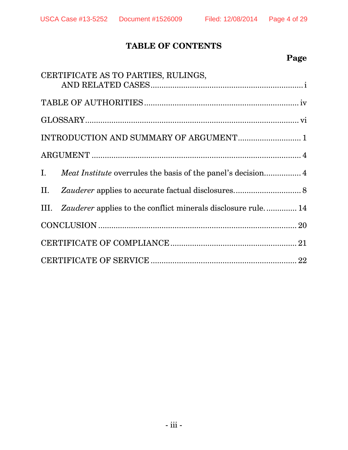# **TABLE OF CONTENTS**

# **Page**

|                                        | CERTIFICATE AS TO PARTIES, RULINGS,                               |  |  |
|----------------------------------------|-------------------------------------------------------------------|--|--|
|                                        |                                                                   |  |  |
|                                        |                                                                   |  |  |
|                                        |                                                                   |  |  |
| INTRODUCTION AND SUMMARY OF ARGUMENT 1 |                                                                   |  |  |
|                                        |                                                                   |  |  |
|                                        |                                                                   |  |  |
|                                        |                                                                   |  |  |
|                                        | III. Zauderer applies to the conflict minerals disclosure rule 14 |  |  |
|                                        |                                                                   |  |  |
|                                        |                                                                   |  |  |
|                                        |                                                                   |  |  |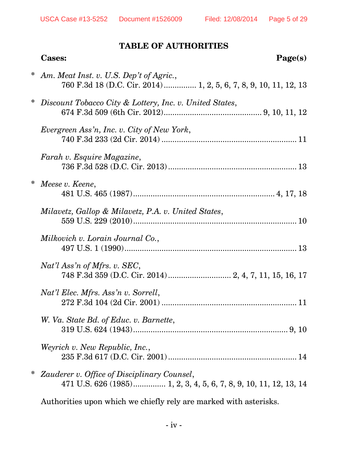## **TABLE OF AUTHORITIES**

|        | <b>Cases:</b><br>Page(s)                                                                                         |
|--------|------------------------------------------------------------------------------------------------------------------|
| $\ast$ | Am. Meat Inst. v. U.S. Dep't of Agric.,<br>760 F.3d 18 (D.C. Cir. 2014)  1, 2, 5, 6, 7, 8, 9, 10, 11, 12, 13     |
| ∗      | Discount Tobacco City & Lottery, Inc. v. United States,                                                          |
|        | Evergreen Ass'n, Inc. v. City of New York,                                                                       |
|        | Farah v. Esquire Magazine,                                                                                       |
| ∗      | Meese v. Keene,                                                                                                  |
|        | Milavetz, Gallop & Milavetz, P.A. v. United States,                                                              |
|        | Milkovich v. Lorain Journal Co.,                                                                                 |
|        | $Nat'l$ Ass'n of Mfrs. v. SEC,                                                                                   |
|        | Nat'l Elec. Mfrs. Ass'n v. Sorrell,                                                                              |
|        | W. Va. State Bd. of Educ. v. Barnette,                                                                           |
|        | Weyrich v. New Republic, Inc.,                                                                                   |
|        | Zauderer v. Office of Disciplinary Counsel,<br>471 U.S. 626 (1985) 1, 2, 3, 4, 5, 6, 7, 8, 9, 10, 11, 12, 13, 14 |
|        |                                                                                                                  |

Authorities upon which we chiefly rely are marked with asterisks.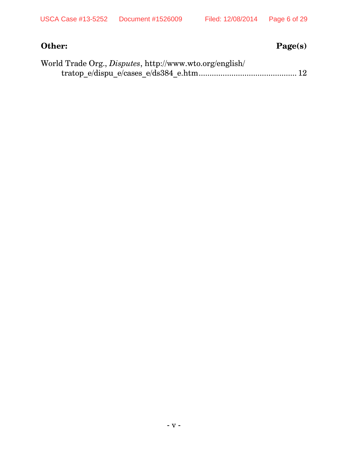# **Other:** Page(s)

| World Trade Org., <i>Disputes</i> , http://www.wto.org/english/ |  |
|-----------------------------------------------------------------|--|
|                                                                 |  |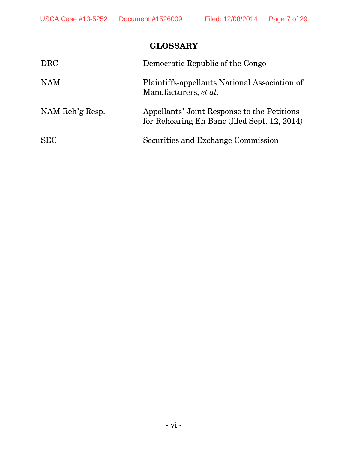# **GLOSSARY**

| <b>DRC</b>      | Democratic Republic of the Congo                                                            |
|-----------------|---------------------------------------------------------------------------------------------|
| <b>NAM</b>      | Plaintiffs-appellants National Association of<br>Manufacturers, et al.                      |
| NAM Reh'g Resp. | Appellants' Joint Response to the Petitions<br>for Rehearing En Banc (filed Sept. 12, 2014) |
| <b>SEC</b>      | Securities and Exchange Commission                                                          |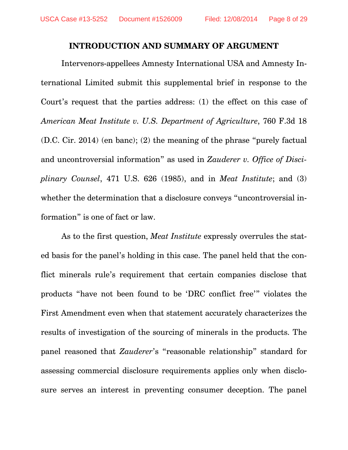#### **INTRODUCTION AND SUMMARY OF ARGUMENT**

Intervenors-appellees Amnesty International USA and Amnesty International Limited submit this supplemental brief in response to the Court's request that the parties address: (1) the effect on this case of *American Meat Institute v. U.S. Department of Agriculture*, 760 F.3d 18 (D.C. Cir. 2014) (en banc); (2) the meaning of the phrase "purely factual and uncontroversial information" as used in *Zauderer v. Office of Disciplinary Counsel*, 471 U.S. 626 (1985), and in *Meat Institute*; and (3) whether the determination that a disclosure conveys "uncontroversial information" is one of fact or law.

As to the first question, *Meat Institute* expressly overrules the stated basis for the panel's holding in this case. The panel held that the conflict minerals rule's requirement that certain companies disclose that products "have not been found to be 'DRC conflict free'" violates the First Amendment even when that statement accurately characterizes the results of investigation of the sourcing of minerals in the products. The panel reasoned that *Zauderer*'s "reasonable relationship" standard for assessing commercial disclosure requirements applies only when disclosure serves an interest in preventing consumer deception. The panel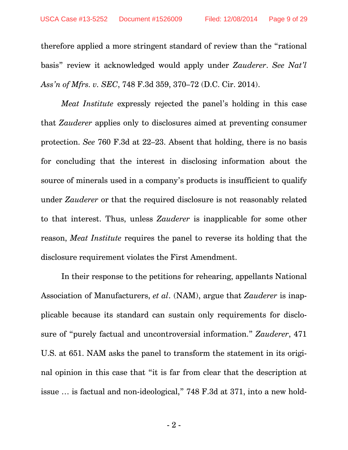therefore applied a more stringent standard of review than the "rational basis" review it acknowledged would apply under *Zauderer*. *See Nat'l Ass'n of Mfrs. v. SEC*, 748 F.3d 359, 370–72 (D.C. Cir. 2014).

*Meat Institute* expressly rejected the panel's holding in this case that *Zauderer* applies only to disclosures aimed at preventing consumer protection. *See* 760 F.3d at 22–23. Absent that holding, there is no basis for concluding that the interest in disclosing information about the source of minerals used in a company's products is insufficient to qualify under *Zauderer* or that the required disclosure is not reasonably related to that interest. Thus, unless *Zauderer* is inapplicable for some other reason, *Meat Institute* requires the panel to reverse its holding that the disclosure requirement violates the First Amendment.

In their response to the petitions for rehearing, appellants National Association of Manufacturers, *et al*. (NAM), argue that *Zauderer* is inapplicable because its standard can sustain only requirements for disclosure of "purely factual and uncontroversial information." *Zauderer*, 471 U.S. at 651. NAM asks the panel to transform the statement in its original opinion in this case that "it is far from clear that the description at issue … is factual and non-ideological," 748 F.3d at 371, into a new hold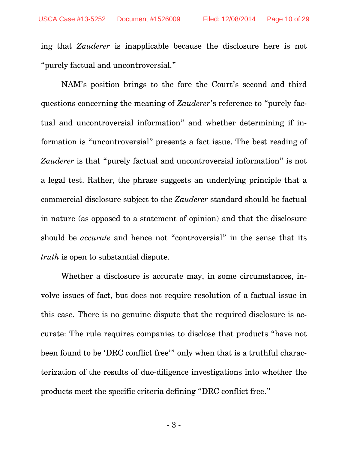ing that *Zauderer* is inapplicable because the disclosure here is not "purely factual and uncontroversial."

NAM's position brings to the fore the Court's second and third questions concerning the meaning of *Zauderer*'s reference to "purely factual and uncontroversial information" and whether determining if information is "uncontroversial" presents a fact issue. The best reading of *Zauderer* is that "purely factual and uncontroversial information" is not a legal test. Rather, the phrase suggests an underlying principle that a commercial disclosure subject to the *Zauderer* standard should be factual in nature (as opposed to a statement of opinion) and that the disclosure should be *accurate* and hence not "controversial" in the sense that its *truth* is open to substantial dispute.

Whether a disclosure is accurate may, in some circumstances, involve issues of fact, but does not require resolution of a factual issue in this case. There is no genuine dispute that the required disclosure is accurate: The rule requires companies to disclose that products "have not been found to be 'DRC conflict free'" only when that is a truthful characterization of the results of due-diligence investigations into whether the products meet the specific criteria defining "DRC conflict free."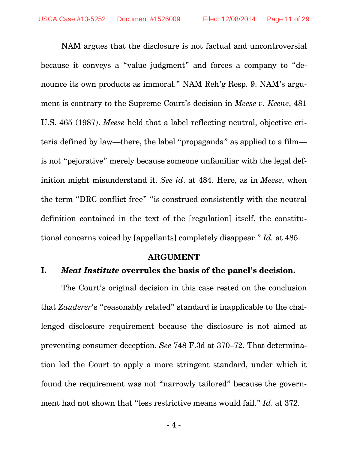NAM argues that the disclosure is not factual and uncontroversial because it conveys a "value judgment" and forces a company to "denounce its own products as immoral." NAM Reh'g Resp. 9. NAM's argument is contrary to the Supreme Court's decision in *Meese v. Keene*, 481 U.S. 465 (1987). *Meese* held that a label reflecting neutral, objective criteria defined by law—there, the label "propaganda" as applied to a film is not "pejorative" merely because someone unfamiliar with the legal definition might misunderstand it. *See id*. at 484. Here, as in *Meese*, when the term "DRC conflict free" "is construed consistently with the neutral definition contained in the text of the [regulation] itself, the constitutional concerns voiced by [appellants] completely disappear." *Id.* at 485.

#### **ARGUMENT**

## **I.** *Meat Institute* **overrules the basis of the panel's decision.**

The Court's original decision in this case rested on the conclusion that *Zauderer*'s "reasonably related" standard is inapplicable to the challenged disclosure requirement because the disclosure is not aimed at preventing consumer deception. *See* 748 F.3d at 370–72. That determination led the Court to apply a more stringent standard, under which it found the requirement was not "narrowly tailored" because the government had not shown that "less restrictive means would fail." *Id*. at 372.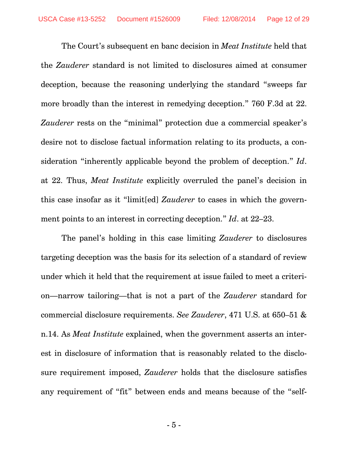The Court's subsequent en banc decision in *Meat Institute* held that the *Zauderer* standard is not limited to disclosures aimed at consumer deception, because the reasoning underlying the standard "sweeps far more broadly than the interest in remedying deception." 760 F.3d at 22. *Zauderer* rests on the "minimal" protection due a commercial speaker's desire not to disclose factual information relating to its products, a consideration "inherently applicable beyond the problem of deception." *Id*. at 22. Thus, *Meat Institute* explicitly overruled the panel's decision in this case insofar as it "limit[ed] *Zauderer* to cases in which the government points to an interest in correcting deception." *Id*. at 22–23.

The panel's holding in this case limiting *Zauderer* to disclosures targeting deception was the basis for its selection of a standard of review under which it held that the requirement at issue failed to meet a criterion—narrow tailoring—that is not a part of the *Zauderer* standard for commercial disclosure requirements. *See Zauderer*, 471 U.S. at 650–51 & n.14. As *Meat Institute* explained, when the government asserts an interest in disclosure of information that is reasonably related to the disclosure requirement imposed, *Zauderer* holds that the disclosure satisfies any requirement of "fit" between ends and means because of the "self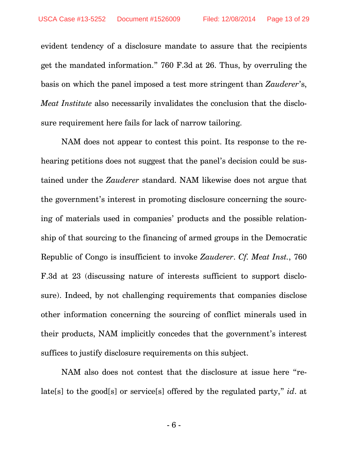evident tendency of a disclosure mandate to assure that the recipients get the mandated information." 760 F.3d at 26. Thus, by overruling the basis on which the panel imposed a test more stringent than *Zauderer*'s, *Meat Institute* also necessarily invalidates the conclusion that the disclosure requirement here fails for lack of narrow tailoring.

NAM does not appear to contest this point. Its response to the rehearing petitions does not suggest that the panel's decision could be sustained under the *Zauderer* standard. NAM likewise does not argue that the government's interest in promoting disclosure concerning the sourcing of materials used in companies' products and the possible relationship of that sourcing to the financing of armed groups in the Democratic Republic of Congo is insufficient to invoke *Zauderer*. *Cf. Meat Inst.*, 760 F.3d at 23 (discussing nature of interests sufficient to support disclosure). Indeed, by not challenging requirements that companies disclose other information concerning the sourcing of conflict minerals used in their products, NAM implicitly concedes that the government's interest suffices to justify disclosure requirements on this subject.

NAM also does not contest that the disclosure at issue here "relate[s] to the good[s] or service[s] offered by the regulated party," *id*. at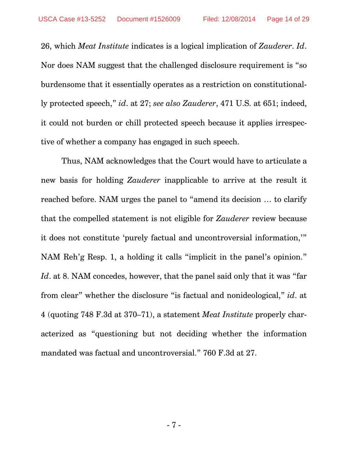26, which *Meat Institute* indicates is a logical implication of *Zauderer*. *Id*. Nor does NAM suggest that the challenged disclosure requirement is "so burdensome that it essentially operates as a restriction on constitutionally protected speech," *id*. at 27; *see also Zauderer*, 471 U.S. at 651; indeed, it could not burden or chill protected speech because it applies irrespective of whether a company has engaged in such speech.

Thus, NAM acknowledges that the Court would have to articulate a new basis for holding *Zauderer* inapplicable to arrive at the result it reached before. NAM urges the panel to "amend its decision … to clarify that the compelled statement is not eligible for *Zauderer* review because it does not constitute 'purely factual and uncontroversial information,'" NAM Reh'g Resp. 1, a holding it calls "implicit in the panel's opinion." *Id*. at 8. NAM concedes, however, that the panel said only that it was "far from clear" whether the disclosure "is factual and nonideological," *id*. at 4 (quoting 748 F.3d at 370–71), a statement *Meat Institute* properly characterized as "questioning but not deciding whether the information mandated was factual and uncontroversial." 760 F.3d at 27.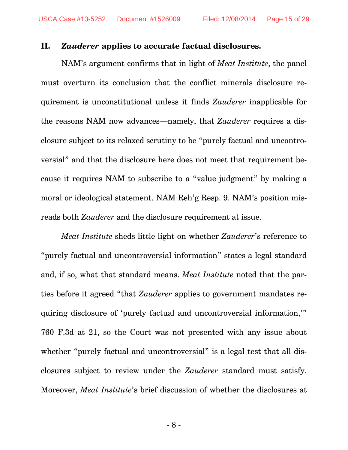#### **II.** *Zauderer* **applies to accurate factual disclosures.**

NAM's argument confirms that in light of *Meat Institute*, the panel must overturn its conclusion that the conflict minerals disclosure requirement is unconstitutional unless it finds *Zauderer* inapplicable for the reasons NAM now advances—namely, that *Zauderer* requires a disclosure subject to its relaxed scrutiny to be "purely factual and uncontroversial" and that the disclosure here does not meet that requirement because it requires NAM to subscribe to a "value judgment" by making a moral or ideological statement. NAM Reh'g Resp. 9. NAM's position misreads both *Zauderer* and the disclosure requirement at issue.

*Meat Institute* sheds little light on whether *Zauderer*'s reference to "purely factual and uncontroversial information" states a legal standard and, if so, what that standard means. *Meat Institute* noted that the parties before it agreed "that *Zauderer* applies to government mandates requiring disclosure of 'purely factual and uncontroversial information,'" 760 F.3d at 21, so the Court was not presented with any issue about whether "purely factual and uncontroversial" is a legal test that all disclosures subject to review under the *Zauderer* standard must satisfy. Moreover, *Meat Institute*'s brief discussion of whether the disclosures at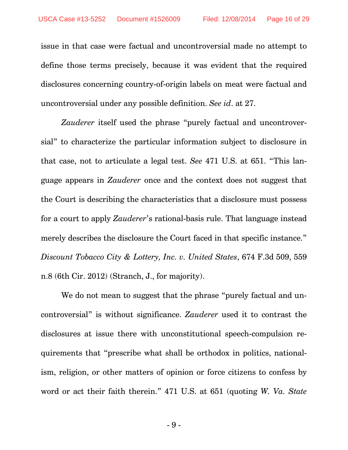issue in that case were factual and uncontroversial made no attempt to define those terms precisely, because it was evident that the required disclosures concerning country-of-origin labels on meat were factual and uncontroversial under any possible definition. *See id*. at 27.

*Zauderer* itself used the phrase "purely factual and uncontroversial" to characterize the particular information subject to disclosure in that case, not to articulate a legal test. *See* 471 U.S. at 651. "This language appears in *Zauderer* once and the context does not suggest that the Court is describing the characteristics that a disclosure must possess for a court to apply *Zauderer*'s rational-basis rule. That language instead merely describes the disclosure the Court faced in that specific instance." *Discount Tobacco City & Lottery, Inc. v. United States*, 674 F.3d 509, 559 n.8 (6th Cir. 2012) (Stranch, J., for majority).

We do not mean to suggest that the phrase "purely factual and uncontroversial" is without significance. *Zauderer* used it to contrast the disclosures at issue there with unconstitutional speech-compulsion requirements that "prescribe what shall be orthodox in politics, nationalism, religion, or other matters of opinion or force citizens to confess by word or act their faith therein." 471 U.S. at 651 (quoting *W. Va. State*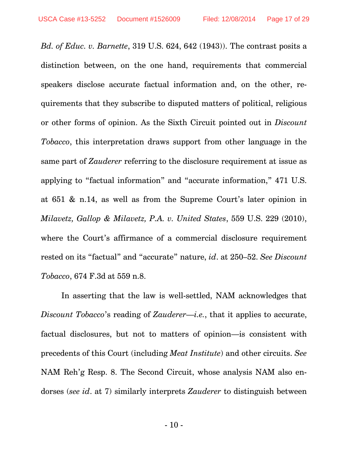*Bd. of Educ. v. Barnette*, 319 U.S. 624, 642 (1943)). The contrast posits a distinction between, on the one hand, requirements that commercial speakers disclose accurate factual information and, on the other, requirements that they subscribe to disputed matters of political, religious or other forms of opinion. As the Sixth Circuit pointed out in *Discount Tobacco*, this interpretation draws support from other language in the same part of *Zauderer* referring to the disclosure requirement at issue as applying to "factual information" and "accurate information," 471 U.S. at 651 & n.14, as well as from the Supreme Court's later opinion in *Milavetz, Gallop & Milavetz, P.A. v. United States*, 559 U.S. 229 (2010), where the Court's affirmance of a commercial disclosure requirement rested on its "factual" and "accurate" nature, *id*. at 250–52. *See Discount Tobacco*, 674 F.3d at 559 n.8.

In asserting that the law is well-settled, NAM acknowledges that *Discount Tobacco*'s reading of *Zauderer*—*i.e.*, that it applies to accurate, factual disclosures, but not to matters of opinion—is consistent with precedents of this Court (including *Meat Institute*) and other circuits. *See* NAM Reh'g Resp. 8. The Second Circuit, whose analysis NAM also endorses (*see id*. at 7) similarly interprets *Zauderer* to distinguish between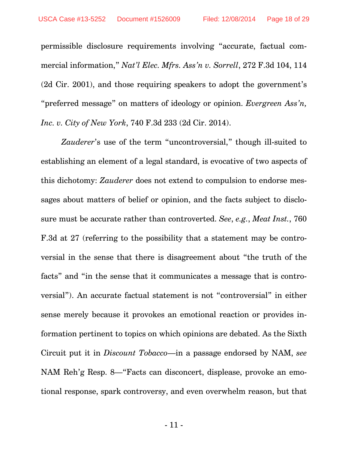permissible disclosure requirements involving "accurate, factual commercial information," *Nat'l Elec. Mfrs. Ass'n v. Sorrell*, 272 F.3d 104, 114 (2d Cir. 2001), and those requiring speakers to adopt the government's "preferred message" on matters of ideology or opinion. *Evergreen Ass'n, Inc. v. City of New York*, 740 F.3d 233 (2d Cir. 2014).

Zauderer's use of the term "uncontroversial," though ill-suited to establishing an element of a legal standard, is evocative of two aspects of this dichotomy: *Zauderer* does not extend to compulsion to endorse messages about matters of belief or opinion, and the facts subject to disclosure must be accurate rather than controverted. *See*, *e.g.*, *Meat Inst.*, 760 F.3d at 27 (referring to the possibility that a statement may be controversial in the sense that there is disagreement about "the truth of the facts" and "in the sense that it communicates a message that is controversial"). An accurate factual statement is not "controversial" in either sense merely because it provokes an emotional reaction or provides information pertinent to topics on which opinions are debated. As the Sixth Circuit put it in *Discount Tobacco*—in a passage endorsed by NAM, *see* NAM Reh'g Resp. 8—"Facts can disconcert, displease, provoke an emotional response, spark controversy, and even overwhelm reason, but that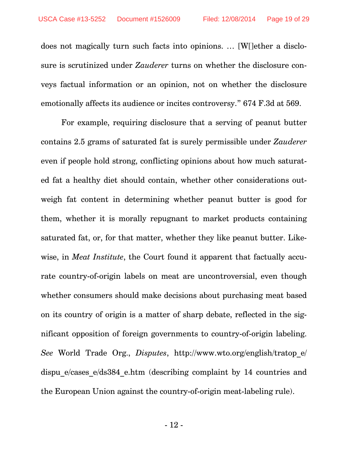does not magically turn such facts into opinions. … [W[]ether a disclosure is scrutinized under *Zauderer* turns on whether the disclosure conveys factual information or an opinion, not on whether the disclosure emotionally affects its audience or incites controversy." 674 F.3d at 569.

For example, requiring disclosure that a serving of peanut butter contains 2.5 grams of saturated fat is surely permissible under *Zauderer* even if people hold strong, conflicting opinions about how much saturated fat a healthy diet should contain, whether other considerations outweigh fat content in determining whether peanut butter is good for them, whether it is morally repugnant to market products containing saturated fat, or, for that matter, whether they like peanut butter. Likewise, in *Meat Institute*, the Court found it apparent that factually accurate country-of-origin labels on meat are uncontroversial, even though whether consumers should make decisions about purchasing meat based on its country of origin is a matter of sharp debate, reflected in the significant opposition of foreign governments to country-of-origin labeling. *See* World Trade Org., *Disputes*, http://www.wto.org/english/tratop\_e/ dispu e/cases e/ds384 e.htm (describing complaint by 14 countries and the European Union against the country-of-origin meat-labeling rule).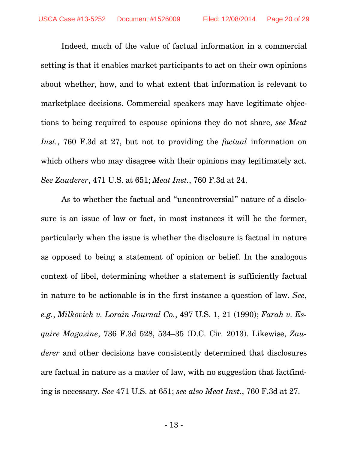Indeed, much of the value of factual information in a commercial setting is that it enables market participants to act on their own opinions about whether, how, and to what extent that information is relevant to marketplace decisions. Commercial speakers may have legitimate objections to being required to espouse opinions they do not share, *see Meat Inst.*, 760 F.3d at 27, but not to providing the *factual* information on which others who may disagree with their opinions may legitimately act. *See Zauderer*, 471 U.S. at 651; *Meat Inst.*, 760 F.3d at 24.

As to whether the factual and "uncontroversial" nature of a disclosure is an issue of law or fact, in most instances it will be the former, particularly when the issue is whether the disclosure is factual in nature as opposed to being a statement of opinion or belief. In the analogous context of libel, determining whether a statement is sufficiently factual in nature to be actionable is in the first instance a question of law. *See*, *e.g.*, *Milkovich v. Lorain Journal Co.*, 497 U.S. 1, 21 (1990); *Farah v. Esquire Magazine*, 736 F.3d 528, 534–35 (D.C. Cir. 2013). Likewise, *Zauderer* and other decisions have consistently determined that disclosures are factual in nature as a matter of law, with no suggestion that factfinding is necessary. *See* 471 U.S. at 651; *see also Meat Inst.*, 760 F.3d at 27.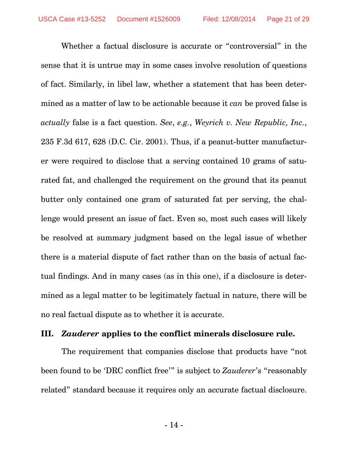Whether a factual disclosure is accurate or "controversial" in the sense that it is untrue may in some cases involve resolution of questions of fact. Similarly, in libel law, whether a statement that has been determined as a matter of law to be actionable because it *can* be proved false is *actually* false is a fact question. *See*, *e.g.*, *Weyrich v. New Republic, Inc.*, 235 F.3d 617, 628 (D.C. Cir. 2001). Thus, if a peanut-butter manufacturer were required to disclose that a serving contained 10 grams of saturated fat, and challenged the requirement on the ground that its peanut butter only contained one gram of saturated fat per serving, the challenge would present an issue of fact. Even so, most such cases will likely be resolved at summary judgment based on the legal issue of whether there is a material dispute of fact rather than on the basis of actual factual findings. And in many cases (as in this one), if a disclosure is determined as a legal matter to be legitimately factual in nature, there will be no real factual dispute as to whether it is accurate.

### **III.** *Zauderer* **applies to the conflict minerals disclosure rule.**

The requirement that companies disclose that products have "not been found to be 'DRC conflict free'" is subject to *Zauderer*'s "reasonably related" standard because it requires only an accurate factual disclosure.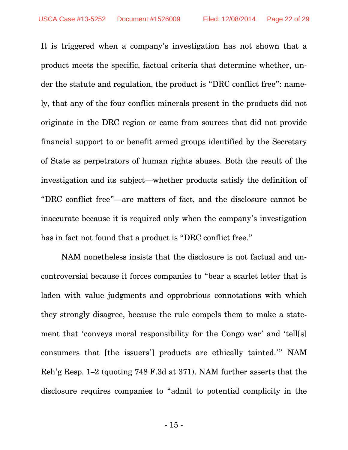It is triggered when a company's investigation has not shown that a product meets the specific, factual criteria that determine whether, under the statute and regulation, the product is "DRC conflict free": namely, that any of the four conflict minerals present in the products did not originate in the DRC region or came from sources that did not provide financial support to or benefit armed groups identified by the Secretary of State as perpetrators of human rights abuses. Both the result of the investigation and its subject—whether products satisfy the definition of "DRC conflict free"—are matters of fact, and the disclosure cannot be inaccurate because it is required only when the company's investigation has in fact not found that a product is "DRC conflict free."

NAM nonetheless insists that the disclosure is not factual and uncontroversial because it forces companies to "bear a scarlet letter that is laden with value judgments and opprobrious connotations with which they strongly disagree, because the rule compels them to make a statement that 'conveys moral responsibility for the Congo war' and 'tell[s] consumers that [the issuers'] products are ethically tainted.'" NAM Reh'g Resp. 1–2 (quoting 748 F.3d at 371). NAM further asserts that the disclosure requires companies to "admit to potential complicity in the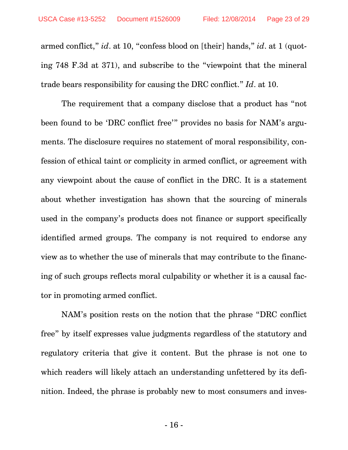armed conflict," *id*. at 10, "confess blood on [their] hands," *id*. at 1 (quoting 748 F.3d at 371), and subscribe to the "viewpoint that the mineral trade bears responsibility for causing the DRC conflict." *Id*. at 10.

The requirement that a company disclose that a product has "not been found to be 'DRC conflict free'" provides no basis for NAM's arguments. The disclosure requires no statement of moral responsibility, confession of ethical taint or complicity in armed conflict, or agreement with any viewpoint about the cause of conflict in the DRC. It is a statement about whether investigation has shown that the sourcing of minerals used in the company's products does not finance or support specifically identified armed groups. The company is not required to endorse any view as to whether the use of minerals that may contribute to the financing of such groups reflects moral culpability or whether it is a causal factor in promoting armed conflict.

NAM's position rests on the notion that the phrase "DRC conflict free" by itself expresses value judgments regardless of the statutory and regulatory criteria that give it content. But the phrase is not one to which readers will likely attach an understanding unfettered by its definition. Indeed, the phrase is probably new to most consumers and inves-

- 16 -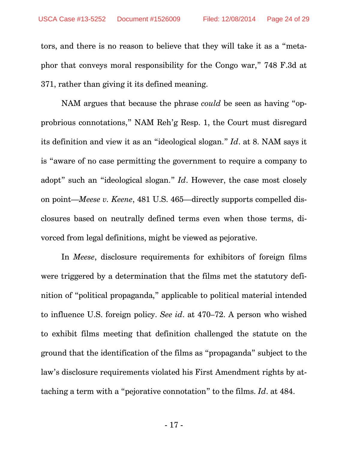tors, and there is no reason to believe that they will take it as a "metaphor that conveys moral responsibility for the Congo war," 748 F.3d at 371, rather than giving it its defined meaning.

NAM argues that because the phrase *could* be seen as having "opprobrious connotations," NAM Reh'g Resp. 1, the Court must disregard its definition and view it as an "ideological slogan." *Id*. at 8. NAM says it is "aware of no case permitting the government to require a company to adopt" such an "ideological slogan." *Id*. However, the case most closely on point—*Meese v. Keene*, 481 U.S. 465—directly supports compelled disclosures based on neutrally defined terms even when those terms, divorced from legal definitions, might be viewed as pejorative.

In *Meese*, disclosure requirements for exhibitors of foreign films were triggered by a determination that the films met the statutory definition of "political propaganda," applicable to political material intended to influence U.S. foreign policy. *See id*. at 470–72. A person who wished to exhibit films meeting that definition challenged the statute on the ground that the identification of the films as "propaganda" subject to the law's disclosure requirements violated his First Amendment rights by attaching a term with a "pejorative connotation" to the films. *Id*. at 484.

- 17 -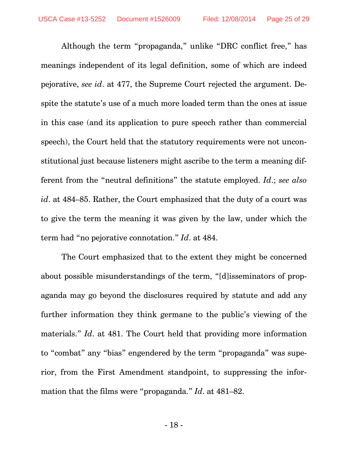Although the term "propaganda," unlike "DRC conflict free," has meanings independent of its legal definition, some of which are indeed pejorative, *see id*. at 477, the Supreme Court rejected the argument. Despite the statute's use of a much more loaded term than the ones at issue in this case (and its application to pure speech rather than commercial speech), the Court held that the statutory requirements were not unconstitutional just because listeners might ascribe to the term a meaning different from the "neutral definitions" the statute employed. *Id*.; *see also id*. at 484–85. Rather, the Court emphasized that the duty of a court was to give the term the meaning it was given by the law, under which the term had "no pejorative connotation." *Id*. at 484.

The Court emphasized that to the extent they might be concerned about possible misunderstandings of the term, "[d]isseminators of propaganda may go beyond the disclosures required by statute and add any further information they think germane to the public's viewing of the materials." *Id*. at 481. The Court held that providing more information to "combat" any "bias" engendered by the term "propaganda" was superior, from the First Amendment standpoint, to suppressing the information that the films were "propaganda." *Id*. at 481–82.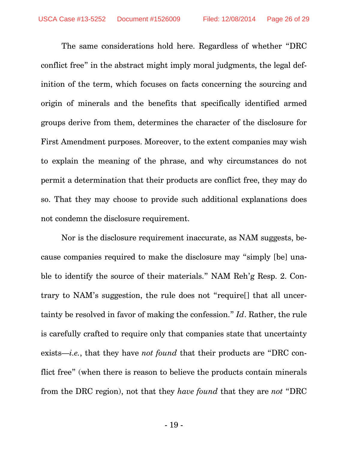The same considerations hold here. Regardless of whether "DRC conflict free" in the abstract might imply moral judgments, the legal definition of the term, which focuses on facts concerning the sourcing and origin of minerals and the benefits that specifically identified armed groups derive from them, determines the character of the disclosure for First Amendment purposes. Moreover, to the extent companies may wish to explain the meaning of the phrase, and why circumstances do not permit a determination that their products are conflict free, they may do so. That they may choose to provide such additional explanations does not condemn the disclosure requirement.

Nor is the disclosure requirement inaccurate, as NAM suggests, because companies required to make the disclosure may "simply [be] unable to identify the source of their materials." NAM Reh'g Resp. 2. Contrary to NAM's suggestion, the rule does not "require[] that all uncertainty be resolved in favor of making the confession." *Id*. Rather, the rule is carefully crafted to require only that companies state that uncertainty exists—*i.e.*, that they have *not found* that their products are "DRC conflict free" (when there is reason to believe the products contain minerals from the DRC region), not that they *have found* that they are *not* "DRC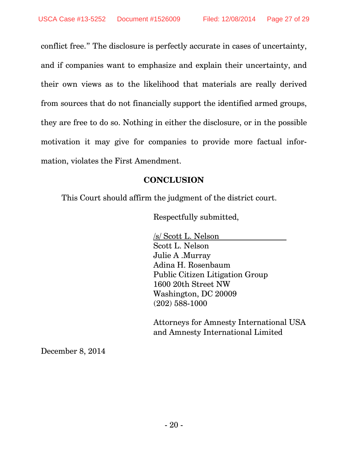conflict free." The disclosure is perfectly accurate in cases of uncertainty, and if companies want to emphasize and explain their uncertainty, and their own views as to the likelihood that materials are really derived from sources that do not financially support the identified armed groups, they are free to do so. Nothing in either the disclosure, or in the possible motivation it may give for companies to provide more factual information, violates the First Amendment.

## **CONCLUSION**

This Court should affirm the judgment of the district court.

Respectfully submitted,

/s/ Scott L. Nelson Scott L. Nelson Julie A .Murray Adina H. Rosenbaum Public Citizen Litigation Group 1600 20th Street NW Washington, DC 20009 (202) 588-1000

Attorneys for Amnesty International USA and Amnesty International Limited

December 8, 2014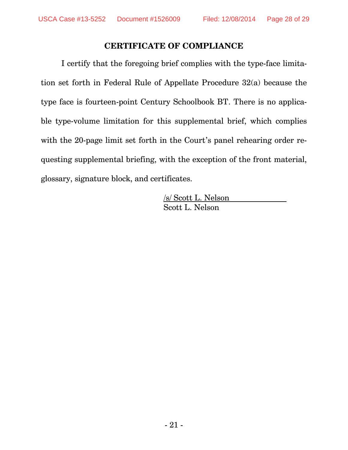## **CERTIFICATE OF COMPLIANCE**

I certify that the foregoing brief complies with the type-face limitation set forth in Federal Rule of Appellate Procedure 32(a) because the type face is fourteen-point Century Schoolbook BT. There is no applicable type-volume limitation for this supplemental brief, which complies with the 20-page limit set forth in the Court's panel rehearing order requesting supplemental briefing, with the exception of the front material, glossary, signature block, and certificates.

> /s/ Scott L. Nelson Scott L. Nelson